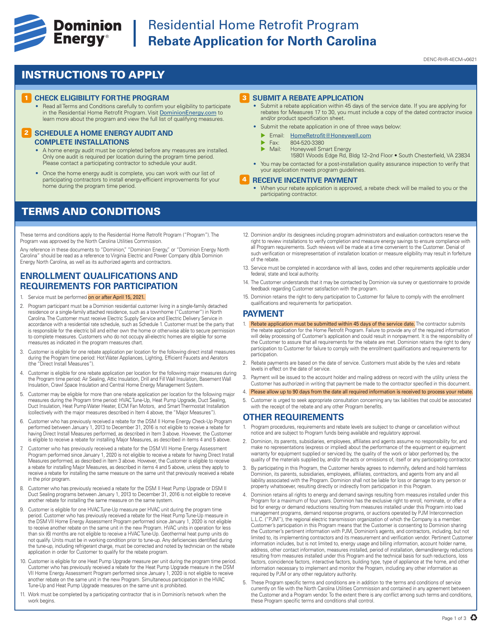

## **Experience Cominion** Residential Home Retrofit Program<br> **Energy**<sup>®</sup> Rebate Application for North Caroli **Rebate Application for North Carolina**

#### DENC-RHR-4ECM-v0621

### INSTRUCTIONS TO APPLY

#### **1 CHECK ELIGIBILITY FOR THE PROGRAM**

• Read all Terms and Conditions carefully to confirm your eligibility to participate in the Residential Home Retrofit Program. Visit DominionEnergy.com to learn more about the program and view the full list of qualifying measures.

#### **2 SCHEDULE A HOME ENERGY AUDIT AND COMPLETE INSTALLATIONS**

- A home energy audit must be completed before any measures are installed. Only one audit is required per location during the program time period. Please contact a participating contractor to schedule your audit
- Once the home energy audit is complete, you can work with our list of participating contractors to install energy-efficient improvements for your home during the program time period.

### TERMS AND CONDITIONS

These terms and conditions apply to the Residential Home Retrofit Program ("Program"). The Program was approved by the North Carolina Utilities Commission.

Any reference in these documents to "Dominion," "Dominion Energy," or "Dominion Energy North Carolina" should be read as a reference to Virginia Electric and Power Company d/b/a Dominion Energy North Carolina, as well as its authorized agents and contractors.

### **ENROLLMENT QUALIFICATIONS AND REQUIREMENTS FOR PARTICIPATION**

- 1. Service must be performed on or after April 15, 2021.
- 2. Program participant must be a Dominion residential customer living in a single-family detached residence or a single-family attached residence, such as a townhome ("Customer") in North Carolina. The Customer must receive Electric Supply Service and Electric Delivery Service in accordance with a residential rate schedule, such as Schedule 1. Customer must be the party that is responsible for the electric bill and either own the home or otherwise able to secure permission to complete measures. Customers who do not occupy all-electric homes are eligible for some measures as indicated in the program measures chart.
- 3. Customer is eligible for one rebate application per location for the following direct install measures during the Program time period: Hot Water Appliances, Lighting, Efficient Faucets and Aerators (the "Direct Install Measures").
- 4. Customer is eligible for one rebate application per location for the following major measures during the Program time period: Air Sealing, Attic Insulation, Drill and Fill Wall Insulation, Basement Wall Insulation, Crawl Space Insulation and Central Home Energy Management System.
- 5. Customer may be eligible for more than one rebate application per location for the following major measures during the Program time period: HVAC Tune-Up, Heat Pump Upgrade, Duct Sealing, Duct Insulation, Heat Pump Water Heater, ECM Fan Motors, and Smart Thermostat Installation (collectively with the major measures described in Item 4 above, the "Major Measures").
- 6. Customer who has previously received a rebate for the DSM II Home Energy Check-Up Program performed between January 1, 2013 to December 31, 2016 is not eligible to receive a rebate for having Direct Install Measures performed, as described in Item 3 above. However, the Customer is eligible to receive a rebate for installing Major Measures, as described in items 4 and 5 above.
- 7. Customer who has previously received a rebate for the DSM VII Home Energy Assessment Program performed since January 1, 2020 is not eligible to receive a rebate for having Direct Install Measures performed, as described in Item 3 above. However, the Customer is eligible to receive a rebate for installing Major Measures, as described in items 4 and 5 above, unless they apply to receive a rebate for installing the same measure on the same unit that previously received a rebate in the prior program.
- 8. Customer who has previously received a rebate for the DSM II Heat Pump Upgrade or DSM II Duct Sealing programs between January 1, 2013 to December 31, 2016 is not eligible to receive another rebate for installing the same measure on the same system.
- 9. Customer is eligible for one HVAC Tune-Up measure per HVAC unit during the program time period. Customer who has previously received a rebate for the Heat Pump Tune-Up measure in the DSM VII Home Energy Assessment Program performed since January 1, 2020 is not eligible to receive another rebate on the same unit in the new Program. HVAC units in operation for less than six (6) months are not eligible to receive a HVAC Tune-Up. Geothermal heat pump units do not qualify. Units must be in working condition prior to tune-up. Any deficiencies identified during the tune-up, including refrigerant charge, must be corrected and noted by technician on the rebate application in order for Customer to qualify for the rebate program.
- 10. Customer is eligible for one Heat Pump Upgrade measure per unit during the program time period. Customer who has previously received a rebate for the Heat Pump Upgrade measure in the DSM VII Home Energy Assessment Program performed since January 1, 2020 is not eligible to receive another rebate on the same unit in the new Program. Simultaneous participation in the HVAC Tune-Up and Heat Pump Upgrade measures on the same unit is prohibited.
- 11. Work must be completed by a participating contractor that is in Dominion's network when the work begins.

#### 3 **SUBMIT A REBATE APPLICATION**

- Submit a rebate application within 45 days of the service date. If you are applying for rebates for Measures 17 to 30, you must include a copy of the dated contractor invoice and/or product specification sheet.
- Submit the rebate application in one of three ways below:
	- **Email:** HomeRetrofit@Honeywell.com
	- $\triangleright$  Fax: 804-520-3380<br> $\triangleright$  Mail: Honeywell Sm
	- Honeywell Smart Energy
	- 15801 Woods Edge Rd, Bldg 12–2nd Floor South Chesterfield, VA 23834
- You may be contacted for a post-installation quality assurance inspection to verify that your application meets program guidelines.

#### 4 **RECEIVE INCENTIVE PAYMENT**

- When your rebate application is approved, a rebate check will be mailed to you or the participating contractor.
- 12. Dominion and/or its designees including program administrators and evaluation contractors reserve the right to review installations to verify completion and measure energy savings to ensure compliance with all Program requirements. Such reviews will be made at a time convenient to the Customer. Denial of such verification or misrepresentation of installation location or measure eligibility may result in forfeiture of the rebate.
- 13. Service must be completed in accordance with all laws, codes and other requirements applicable under federal, state and local authority
- 14. The Customer understands that it may be contacted by Dominion via survey or questionnaire to provide feedback regarding Customer satisfaction with the program.
- 15. Dominion retains the right to deny participation to Customer for failure to comply with the enrollment qualifications and requirements for participation.

#### **PAYMENT**

- 1. Rebate application must be submitted within 45 days of the service date. The contractor submits the rebate application for the Home Retrofit Program. Failure to provide any of the required information will delay processing of Customer's application and could result in nonpayment. It is the responsibility of the Customer to assure that all requirements for the rebate are met. Dominion retains the right to deny participation to Customer for failure to comply with the enrollment qualifications and requirements for participation.
- 2. Rebate payments are based on the date of service. Customers must abide by the rules and rebate levels in effect on the date of service.
- 3. Payment will be issued to the account holder and mailing address on record with the utility unless the Customer has authorized in writing that payment be made to the contractor specified in this document.
- 4. Please allow up to 90 days from the date all required information is received to process your rebate.
- 5. Customer is urged to seek appropriate consultation concerning any tax liabilities that could be associated with the receipt of the rebate and any other Program benefits

#### **OTHER REQUIREMENTS**

- 1. Program procedures, requirements and rebate levels are subject to change or cancellation without notice and are subject to Program funds being available and regulatory approval.
- 2. Dominion, its parents, subsidiaries, employees, affiliates and agents assume no responsibility for, and make no representations (express or implied) about the performance of the equipment or equipment warranty for equipment supplied or serviced by, the quality of the work or labor performed by, the quality of the materials supplied by, and/or the acts or omissions of, itself or any participating contractor.
- 3. By participating in this Program, the Customer hereby agrees to indemnify, defend and hold harmless Dominion, its parents, subsidiaries, employees, affiliates, contractors, and agents from any and all liability associated with the Program. Dominion shall not be liable for loss or damage to any person or property whatsoever, resulting directly or indirectly from participation in this Program.
- 4. Dominion retains all rights to energy and demand savings resulting from measures installed under this Program for a maximum of four years. Dominion has the exclusive right to enroll, nominate, or offer a bid for energy or demand reductions resulting from measures installed under this Program into load management programs, demand response programs, or auctions operated by PJM Interconnection L.L.C. ("PJM"), the regional electric transmission organization of which the Company is a member. Customer's participation in this Program means that the Customer is consenting to Dominion sharing the Customer's pertinent information with PJM, Dominion's agents, and contractors, including, but not limited to, its implementing contractors and its measurement and verification vendor. Pertinent Customer information includes, but is not limited to, energy usage and billing information, account holder name, address, other contact information, measures installed, period of installation, demand/energy reductions resulting from measures installed under this Program and the technical basis for such reductions, loss factors, coincidence factors, interactive factors, building type, type of appliance at the home, and other information necessary to implement and monitor the Program, including any other information as required by PJM or any other regulatory authority.
- 5. These Program specific terms and conditions are in addition to the terms and conditions of service currently on file with the North Carolina Utilities Commission and contained in any agreement between the Customer and a Program vendor. To the extent there is any conflict among such terms and conditions, these Program specific terms and conditions shall control.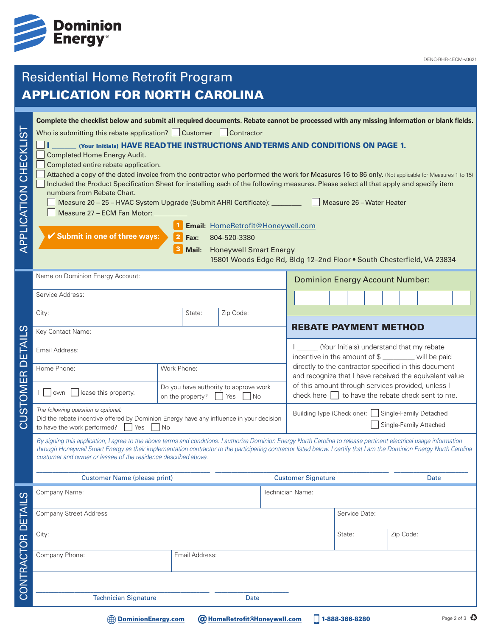

# Residential Home Retrofit Program APPLICATION FOR NORTH CAROLINA

| .<br>(ກ<br>APPLICATION CHECKLI | Complete the checklist below and submit all required documents. Rebate cannot be processed with any missing information or blank fields.<br>Who is submitting this rebate application? Customer Contractor<br>(Your Initials) HAVE READ THE INSTRUCTIONS AND TERMS AND CONDITIONS ON PAGE 1.<br><b>Completed Home Energy Audit.</b><br>Completed entire rebate application.<br>Attached a copy of the dated invoice from the contractor who performed the work for Measures 16 to 86 only. (Not applicable for Measures 1 to 15)<br>Included the Product Specification Sheet for installing each of the following measures. Please select all that apply and specify item<br>numbers from Rebate Chart.<br>Measure 26 - Water Heater<br>Measure 20 - 25 - HVAC System Upgrade (Submit AHRI Certificate): ________<br>Measure 27 - ECM Fan Motor: _<br>Email: HomeRetrofit@Honeywell.com<br>✔ Submit in one of three ways:<br>804-520-3380<br>Fax:<br><b>Honeywell Smart Energy</b><br>Mail:<br>15801 Woods Edge Rd, Bldg 12-2nd Floor . South Chesterfield, VA 23834 |                                                           |                                     |                                                                                                              |                                                                                                                  |                                                                               |                                                                                                 |                |  |             |  |             |  |  |  |
|--------------------------------|----------------------------------------------------------------------------------------------------------------------------------------------------------------------------------------------------------------------------------------------------------------------------------------------------------------------------------------------------------------------------------------------------------------------------------------------------------------------------------------------------------------------------------------------------------------------------------------------------------------------------------------------------------------------------------------------------------------------------------------------------------------------------------------------------------------------------------------------------------------------------------------------------------------------------------------------------------------------------------------------------------------------------------------------------------------------|-----------------------------------------------------------|-------------------------------------|--------------------------------------------------------------------------------------------------------------|------------------------------------------------------------------------------------------------------------------|-------------------------------------------------------------------------------|-------------------------------------------------------------------------------------------------|----------------|--|-------------|--|-------------|--|--|--|
|                                | Name on Dominion Energy Account:                                                                                                                                                                                                                                                                                                                                                                                                                                                                                                                                                                                                                                                                                                                                                                                                                                                                                                                                                                                                                                     |                                                           |                                     |                                                                                                              | <b>Dominion Energy Account Number:</b>                                                                           |                                                                               |                                                                                                 |                |  |             |  |             |  |  |  |
|                                | Service Address:                                                                                                                                                                                                                                                                                                                                                                                                                                                                                                                                                                                                                                                                                                                                                                                                                                                                                                                                                                                                                                                     |                                                           |                                     |                                                                                                              |                                                                                                                  |                                                                               |                                                                                                 |                |  |             |  |             |  |  |  |
|                                | City:                                                                                                                                                                                                                                                                                                                                                                                                                                                                                                                                                                                                                                                                                                                                                                                                                                                                                                                                                                                                                                                                | State:                                                    | Zip Code:                           |                                                                                                              |                                                                                                                  |                                                                               |                                                                                                 |                |  |             |  |             |  |  |  |
|                                | Key Contact Name:                                                                                                                                                                                                                                                                                                                                                                                                                                                                                                                                                                                                                                                                                                                                                                                                                                                                                                                                                                                                                                                    | <b>REBATE PAYMENT METHOD</b>                              |                                     |                                                                                                              |                                                                                                                  |                                                                               |                                                                                                 |                |  |             |  |             |  |  |  |
| ய                              | Email Address:                                                                                                                                                                                                                                                                                                                                                                                                                                                                                                                                                                                                                                                                                                                                                                                                                                                                                                                                                                                                                                                       |                                                           |                                     |                                                                                                              |                                                                                                                  |                                                                               | (Your Initials) understand that my rebate<br>incentive in the amount of \$ _______ will be paid |                |  |             |  |             |  |  |  |
| $\overline{\cap}$              | Home Phone:                                                                                                                                                                                                                                                                                                                                                                                                                                                                                                                                                                                                                                                                                                                                                                                                                                                                                                                                                                                                                                                          | Work Phone:                                               |                                     |                                                                                                              | directly to the contractor specified in this document<br>and recognize that I have received the equivalent value |                                                                               |                                                                                                 |                |  |             |  |             |  |  |  |
| STOMER                         | lease this property.<br>   own                                                                                                                                                                                                                                                                                                                                                                                                                                                                                                                                                                                                                                                                                                                                                                                                                                                                                                                                                                                                                                       | Do you have authority to approve work<br>on the property? | l No                                | of this amount through services provided, unless I<br>check here $\Box$ to have the rebate check sent to me. |                                                                                                                  |                                                                               |                                                                                                 |                |  |             |  |             |  |  |  |
| <u>ನ</u>                       | The following question is optional:<br>Did the rebate incentive offered by Dominion Energy have any influence in your decision<br>to have the work performed?<br>Yes<br>l No                                                                                                                                                                                                                                                                                                                                                                                                                                                                                                                                                                                                                                                                                                                                                                                                                                                                                         |                                                           |                                     |                                                                                                              |                                                                                                                  | Building Type (Check one):   Single-Family Detached<br>Single-Family Attached |                                                                                                 |                |  |             |  |             |  |  |  |
|                                | By signing this application, I agree to the above terms and conditions. I authorize Dominion Energy North Carolina to release pertinent electrical usage information<br>through Honeywell Smart Energy as their implementation contractor to the participating contractor listed below. I certify that I am the Dominion Energy North Carolina<br>customer and owner or lessee of the residence described above.                                                                                                                                                                                                                                                                                                                                                                                                                                                                                                                                                                                                                                                     |                                                           |                                     |                                                                                                              |                                                                                                                  |                                                                               |                                                                                                 |                |  |             |  |             |  |  |  |
|                                | <b>Customer Name (please print)</b>                                                                                                                                                                                                                                                                                                                                                                                                                                                                                                                                                                                                                                                                                                                                                                                                                                                                                                                                                                                                                                  |                                                           |                                     |                                                                                                              | <b>Customer Signature</b>                                                                                        |                                                                               |                                                                                                 |                |  | <b>Date</b> |  |             |  |  |  |
|                                | Company Name:                                                                                                                                                                                                                                                                                                                                                                                                                                                                                                                                                                                                                                                                                                                                                                                                                                                                                                                                                                                                                                                        |                                                           |                                     |                                                                                                              |                                                                                                                  | Technician Name:                                                              |                                                                                                 |                |  |             |  |             |  |  |  |
|                                | <b>Company Street Address</b>                                                                                                                                                                                                                                                                                                                                                                                                                                                                                                                                                                                                                                                                                                                                                                                                                                                                                                                                                                                                                                        | Service Date:                                             |                                     |                                                                                                              |                                                                                                                  |                                                                               |                                                                                                 |                |  |             |  |             |  |  |  |
|                                | City:                                                                                                                                                                                                                                                                                                                                                                                                                                                                                                                                                                                                                                                                                                                                                                                                                                                                                                                                                                                                                                                                |                                                           |                                     |                                                                                                              |                                                                                                                  |                                                                               | State:                                                                                          |                |  | Zip Code:   |  |             |  |  |  |
| CONTRACTOR DETAILS             | Company Phone:                                                                                                                                                                                                                                                                                                                                                                                                                                                                                                                                                                                                                                                                                                                                                                                                                                                                                                                                                                                                                                                       | Email Address:                                            |                                     |                                                                                                              |                                                                                                                  |                                                                               |                                                                                                 |                |  |             |  |             |  |  |  |
|                                |                                                                                                                                                                                                                                                                                                                                                                                                                                                                                                                                                                                                                                                                                                                                                                                                                                                                                                                                                                                                                                                                      |                                                           |                                     |                                                                                                              |                                                                                                                  |                                                                               |                                                                                                 |                |  |             |  |             |  |  |  |
|                                | <b>Technician Signature</b>                                                                                                                                                                                                                                                                                                                                                                                                                                                                                                                                                                                                                                                                                                                                                                                                                                                                                                                                                                                                                                          | Date                                                      |                                     |                                                                                                              |                                                                                                                  |                                                                               |                                                                                                 |                |  |             |  |             |  |  |  |
|                                | <b>DominionEnergy.com</b>                                                                                                                                                                                                                                                                                                                                                                                                                                                                                                                                                                                                                                                                                                                                                                                                                                                                                                                                                                                                                                            |                                                           | <b>@ HomeRetrofit@Honeywell.com</b> |                                                                                                              |                                                                                                                  |                                                                               |                                                                                                 | 1-888-366-8280 |  |             |  | Page 2 of 3 |  |  |  |